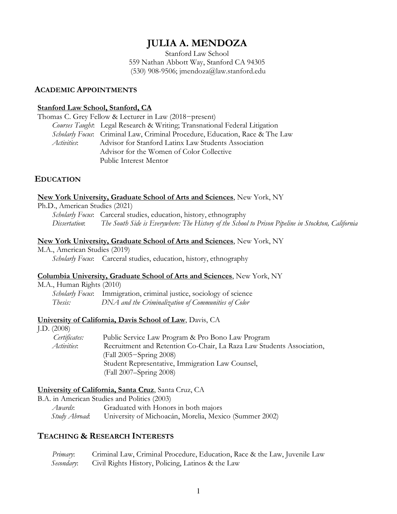# **JULIA A. MENDOZA**

Stanford Law School 559 Nathan Abbott Way, Stanford CA 94305 (530) 908-9506; jmendoza@law.stanford.edu

#### **ACADEMIC APPOINTMENTS**

#### **Stanford Law School, Stanford, CA**

Thomas C. Grey Fellow & Lecturer in Law (2018−present) *Courses Taught*: Legal Research & Writing; Transnational Federal Litigation *Scholarly Focus*: Criminal Law, Criminal Procedure, Education, Race & The Law *Activities*: Advisor for Stanford Latinx Law Students Association Advisor for the Women of Color Collective Public Interest Mentor

# **EDUCATION**

#### **New York University, Graduate School of Arts and Sciences**, New York, NY

#### Ph.D., American Studies (2021)

*Scholarly Focus*: Carceral studies, education, history, ethnography *Dissertation*: *The South Side is Everywhere: The History of the School to Prison Pipeline in Stockton, California*

#### **New York University, Graduate School of Arts and Sciences**, New York, NY

M.A., American Studies (2019) *Scholarly Focus*: Carceral studies, education, history, ethnography

### **Columbia University, Graduate School of Arts and Sciences**, New York, NY

M.A., Human Rights (2010) *Scholarly Focus*: Immigration, criminal justice, sociology of science *Thesis: DNA and the Criminalization of Communities of Color* 

### **University of California, Davis School of Law**, Davis, CA

| J.D. $(2008)$      |                                                                       |
|--------------------|-----------------------------------------------------------------------|
| Certificates:      | Public Service Law Program & Pro Bono Law Program                     |
| <i>Activities:</i> | Recruitment and Retention Co-Chair, La Raza Law Students Association, |
|                    | (Fall 2005–Spring 2008)                                               |
|                    | Student Representative, Immigration Law Counsel,                      |
|                    | (Fall 2007–Spring 2008)                                               |

### **University of California, Santa Cruz**, Santa Cruz, CA

B.A. in American Studies and Politics (2003) *Awards*: Graduated with Honors in both majors

 *Study Abroad*:University of Michoacán, Morelia, Mexico (Summer 2002)

# **TEACHING & RESEARCH INTERESTS**

*Primary*: Criminal Law, Criminal Procedure, Education, Race & the Law, Juvenile Law  *Secondary*:Civil Rights History, Policing, Latinos & the Law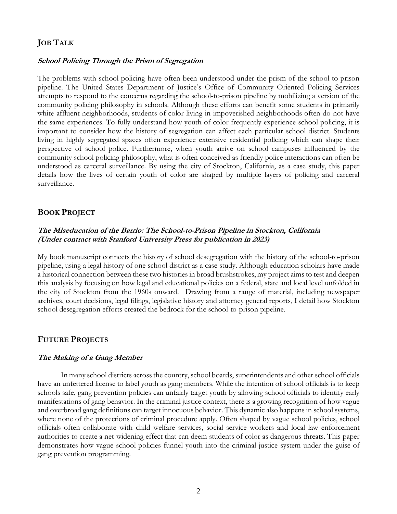# **JOB TALK**

#### **School Policing Through the Prism of Segregation**

The problems with school policing have often been understood under the prism of the school-to-prison pipeline. The United States Department of Justice's Office of Community Oriented Policing Services attempts to respond to the concerns regarding the school-to-prison pipeline by mobilizing a version of the community policing philosophy in schools. Although these efforts can benefit some students in primarily white affluent neighborhoods, students of color living in impoverished neighborhoods often do not have the same experiences. To fully understand how youth of color frequently experience school policing, it is important to consider how the history of segregation can affect each particular school district. Students living in highly segregated spaces often experience extensive residential policing which can shape their perspective of school police. Furthermore, when youth arrive on school campuses influenced by the community school policing philosophy, what is often conceived as friendly police interactions can often be understood as carceral surveillance. By using the city of Stockton, California, as a case study, this paper details how the lives of certain youth of color are shaped by multiple layers of policing and carceral surveillance.

#### **BOOK PROJECT**

#### **The Miseducation of the Barrio: The School-to-Prison Pipeline in Stockton, California (Under contract with Stanford University Press for publication in 2023)**

My book manuscript connects the history of school desegregation with the history of the school-to-prison pipeline, using a legal history of one school district as a case study. Although education scholars have made a historical connection between these two histories in broad brushstrokes, my project aims to test and deepen this analysis by focusing on how legal and educational policies on a federal, state and local level unfolded in the city of Stockton from the 1960s onward. Drawing from a range of material, including newspaper archives, court decisions, legal filings, legislative history and attorney general reports, I detail how Stockton school desegregation efforts created the bedrock for the school-to-prison pipeline.

#### **FUTURE PROJECTS**

#### **The Making of a Gang Member**

In many school districts across the country, school boards, superintendents and other school officials have an unfettered license to label youth as gang members. While the intention of school officials is to keep schools safe, gang prevention policies can unfairly target youth by allowing school officials to identify early manifestations of gang behavior. In the criminal justice context, there is a growing recognition of how vague and overbroad gang definitions can target innocuous behavior. This dynamic also happens in school systems, where none of the protections of criminal procedure apply. Often shaped by vague school policies, school officials often collaborate with child welfare services, social service workers and local law enforcement authorities to create a net-widening effect that can deem students of color as dangerous threats. This paper demonstrates how vague school policies funnel youth into the criminal justice system under the guise of gang prevention programming.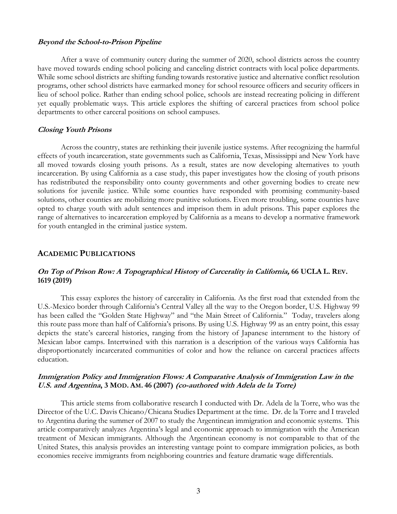#### **Beyond the School-to-Prison Pipeline**

After a wave of community outcry during the summer of 2020, school districts across the country have moved towards ending school policing and canceling district contracts with local police departments. While some school districts are shifting funding towards restorative justice and alternative conflict resolution programs, other school districts have earmarked money for school resource officers and security officers in lieu of school police. Rather than ending school police, schools are instead recreating policing in different yet equally problematic ways. This article explores the shifting of carceral practices from school police departments to other carceral positions on school campuses.

#### **Closing Youth Prisons**

Across the country, states are rethinking their juvenile justice systems. After recognizing the harmful effects of youth incarceration, state governments such as California, Texas, Mississippi and New York have all moved towards closing youth prisons. As a result, states are now developing alternatives to youth incarceration. By using California as a case study, this paper investigates how the closing of youth prisons has redistributed the responsibility onto county governments and other governing bodies to create new solutions for juvenile justice. While some counties have responded with promising community-based solutions, other counties are mobilizing more punitive solutions. Even more troubling, some counties have opted to charge youth with adult sentences and imprison them in adult prisons. This paper explores the range of alternatives to incarceration employed by California as a means to develop a normative framework for youth entangled in the criminal justice system.

#### **ACADEMIC PUBLICATIONS**

### **On Top of Prison Row: A Topographical History of Carcerality in California, 66 UCLA L. REV. 1619 (2019)**

This essay explores the history of carcerality in California. As the first road that extended from the U.S.-Mexico border through California's Central Valley all the way to the Oregon border, U.S. Highway 99 has been called the "Golden State Highway" and "the Main Street of California." Today, travelers along this route pass more than half of California's prisons. By using U.S. Highway 99 as an entry point, this essay depicts the state's carceral histories, ranging from the history of Japanese internment to the history of Mexican labor camps. Intertwined with this narration is a description of the various ways California has disproportionately incarcerated communities of color and how the reliance on carceral practices affects education.

#### **Immigration Policy and Immigration Flows: A Comparative Analysis of Immigration Law in the U.S. and Argentina, 3 MOD. AM. 46 (2007) (co-authored with Adela de la Torre)**

This article stems from collaborative research I conducted with Dr. Adela de la Torre, who was the Director of the U.C. Davis Chicano/Chicana Studies Department at the time. Dr. de la Torre and I traveled to Argentina during the summer of 2007 to study the Argentinean immigration and economic systems. This article comparatively analyzes Argentina's legal and economic approach to immigration with the American treatment of Mexican immigrants. Although the Argentinean economy is not comparable to that of the United States, this analysis provides an interesting vantage point to compare immigration policies, as both economies receive immigrants from neighboring countries and feature dramatic wage differentials.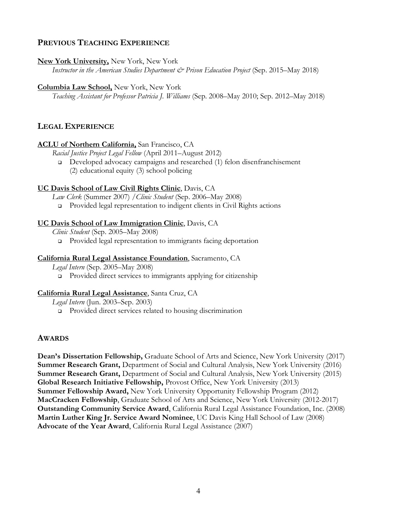# **PREVIOUS TEACHING EXPERIENCE**

#### **New York University,** New York, New York

*Instructor in the American Studies Department & Prison Education Project* (Sep. 2015–May 2018)

#### **Columbia Law School,** New York, New York

*Teaching Assistant for Professor Patricia J. Williams* (Sep. 2008–May 2010; Sep. 2012–May 2018)

### **LEGAL EXPERIENCE**

#### **ACLU of Northern California,** San Francisco, CA

*Racial Justice Project Legal Fellow* (April 2011–August 2012)

<sup>q</sup> Developed advocacy campaigns and researched (1) felon disenfranchisement (2) educational equity (3) school policing

### **UC Davis School of Law Civil Rights Clinic**, Davis, CA

*Law Clerk* (Summer 2007) */Clinic Student* (Sep. 2006–May 2008)

□ Provided legal representation to indigent clients in Civil Rights actions

### **UC Davis School of Law Immigration Clinic**, Davis, CA

*Clinic Student* (Sep. 2005–May 2008)

<sup>q</sup> Provided legal representation to immigrants facing deportation

#### **California Rural Legal Assistance Foundation**, Sacramento, CA

*Legal Intern* (Sep. 2005–May 2008) **p** Provided direct services to immigrants applying for citizenship

#### **California Rural Legal Assistance**, Santa Cruz, CA

*Legal Intern* (Jun. 2003–Sep. 2003)

<sup>q</sup> Provided direct services related to housing discrimination

### **AWARDS**

**Dean's Dissertation Fellowship,** Graduate School of Arts and Science, New York University (2017) **Summer Research Grant,** Department of Social and Cultural Analysis, New York University (2016) **Summer Research Grant,** Department of Social and Cultural Analysis, New York University (2015) **Global Research Initiative Fellowship,** Provost Office, New York University (2013) **Summer Fellowship Award,** New York University Opportunity Fellowship Program (2012) **MacCracken Fellowship**, Graduate School of Arts and Science, New York University (2012-2017) **Outstanding Community Service Award**, California Rural Legal Assistance Foundation, Inc. (2008) **Martin Luther King Jr. Service Award Nominee**, UC Davis King Hall School of Law (2008) **Advocate of the Year Award**, California Rural Legal Assistance (2007)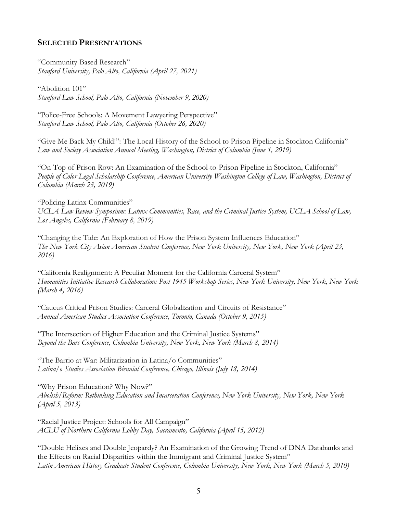# **SELECTED PRESENTATIONS**

"Community-Based Research" *Stanford University, Palo Alto, California (April 27, 2021)* 

"Abolition 101" *Stanford Law School, Palo Alto, California (November 9, 2020)* 

"Police-Free Schools: A Movement Lawyering Perspective" *Stanford Law School, Palo Alto, California (October 26, 2020)* 

"Give Me Back My Child!": The Local History of the School to Prison Pipeline in Stockton California" *Law and Society Association Annual Meeting, Washington, District of Columbia (June 1, 2019)* 

"On Top of Prison Row: An Examination of the School-to-Prison Pipeline in Stockton, California" *People of Color Legal Scholarship Conference, American University Washington College of Law, Washington, District of Columbia (March 23, 2019)*

"Policing Latinx Communities" *UCLA Law Review Symposium: Latinx Communities, Race, and the Criminal Justice System, UCLA School of Law, Los Angeles, California (February 8, 2019)*

"Changing the Tide: An Exploration of How the Prison System Influences Education" *The New York City Asian American Student Conference, New York University, New York, New York (April 23, 2016)* 

"California Realignment: A Peculiar Moment for the California Carceral System" *Humanities Initiative Research Collaboration: Post 1945 Workshop Series, New York University, New York, New York (March 4, 2016)*

"Caucus Critical Prison Studies: Carceral Globalization and Circuits of Resistance" *Annual American Studies Association Conference, Toronto, Canada (October 9, 2015)* 

"The Intersection of Higher Education and the Criminal Justice Systems" *Beyond the Bars Conference, Columbia University, New York, New York (March 8, 2014)* 

"The Barrio at War: Militarization in Latina/o Communities" *Latina/o Studies Association Biennial Conference, Chicago, Illinois (July 18, 2014)* 

"Why Prison Education? Why Now?" *Abolish/Reform: Rethinking Education and Incarceration Conference, New York University, New York, New York (April 5, 2013)* 

"Racial Justice Project: Schools for All Campaign" *ACLU of Northern California Lobby Day, Sacramento, California (April 15, 2012)* 

"Double Helixes and Double Jeopardy? An Examination of the Growing Trend of DNA Databanks and the Effects on Racial Disparities within the Immigrant and Criminal Justice System" *Latin American History Graduate Student Conference, Columbia University, New York, New York (March 5, 2010)*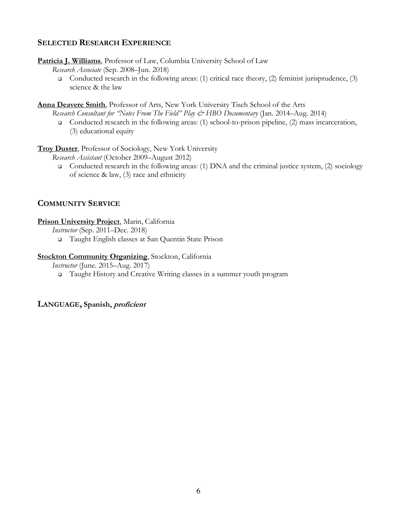# **SELECTED RESEARCH EXPERIENCE**

**Patricia J. Williams**, Professor of Law, Columbia University School of Law

*Research Associate* (Sep. 2008–Jun. 2018)

Gonducted research in the following areas: (1) critical race theory, (2) feminist jurisprudence, (3) science & the law

**Anna Deavere Smith**, Professor of Arts, New York University Tisch School of the Arts

*Research Consultant for "Notes From The Field" Play*  $\mathcal{Q}$  *HBO Documentary* (Jan. 2014–Aug. 2014)

□ Conducted research in the following areas: (1) school-to-prison pipeline, (2) mass incarceration, (3) educational equity

**Troy Duster**, Professor of Sociology, New York University

*Research Assistant* (October 2009–August 2012)

□ Conducted research in the following areas: (1) DNA and the criminal justice system, (2) sociology of science & law, (3) race and ethnicity

# **COMMUNITY SERVICE**

# **Prison University Project**, Marin, California

*Instructor* (Sep. 2011–Dec. 2018)

<sup>q</sup> Taught English classes at San Quentin State Prison

### **Stockton Community Organizing**, Stockton, California

*Instructor* (June. 2015–Aug. 2017)

<sup>q</sup> Taught History and Creative Writing classes in a summer youth program

**LANGUAGE, Spanish, proficient**